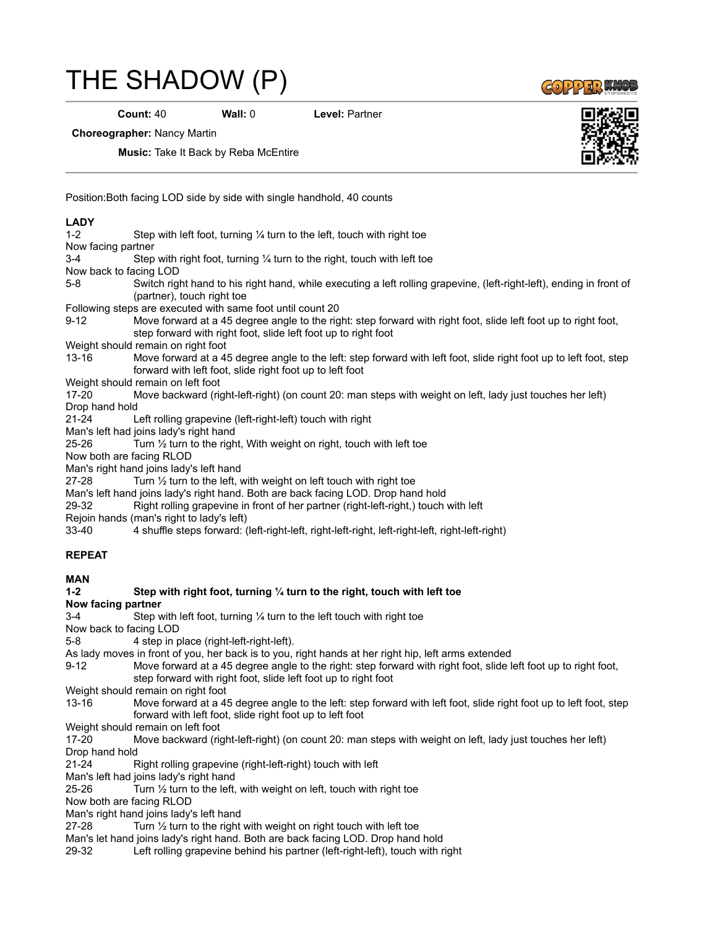## [THE SHADOW \(P\)](https://www.copperknob.co.uk/stepsheets/the-shadow-p-ID37762.aspx)

**Count:** 40 **Wall:** 0 **Level:** Partner

 $GOP253$ 

**Choreographer:** Nancy Martin

**Music:** Take It Back by Reba McEntire

Position:Both facing LOD side by side with single handhold, 40 counts

## **LADY**

| $1 - 2$                                                                                             | Step with left foot, turning $\frac{1}{4}$ turn to the left, touch with right toe                                                                                                 |
|-----------------------------------------------------------------------------------------------------|-----------------------------------------------------------------------------------------------------------------------------------------------------------------------------------|
| Now facing partner                                                                                  |                                                                                                                                                                                   |
| $3-4$                                                                                               | Step with right foot, turning $\frac{1}{4}$ turn to the right, touch with left toe                                                                                                |
| Now back to facing LOD                                                                              |                                                                                                                                                                                   |
| $5 - 8$                                                                                             | Switch right hand to his right hand, while executing a left rolling grapevine, (left-right-left), ending in front of                                                              |
|                                                                                                     | (partner), touch right toe                                                                                                                                                        |
| Following steps are executed with same foot until count 20                                          |                                                                                                                                                                                   |
| $9 - 12$                                                                                            | Move forward at a 45 degree angle to the right: step forward with right foot, slide left foot up to right foot,                                                                   |
|                                                                                                     | step forward with right foot, slide left foot up to right foot                                                                                                                    |
| Weight should remain on right foot                                                                  |                                                                                                                                                                                   |
| $13 - 16$                                                                                           | Move forward at a 45 degree angle to the left: step forward with left foot, slide right foot up to left foot, step<br>forward with left foot, slide right foot up to left foot    |
|                                                                                                     | Weight should remain on left foot                                                                                                                                                 |
| $17 - 20$                                                                                           | Move backward (right-left-right) (on count 20: man steps with weight on left, lady just touches her left)                                                                         |
| Drop hand hold                                                                                      |                                                                                                                                                                                   |
| $21 - 24$                                                                                           | Left rolling grapevine (left-right-left) touch with right                                                                                                                         |
|                                                                                                     | Man's left had joins lady's right hand                                                                                                                                            |
| 25-26                                                                                               | Turn $\frac{1}{2}$ turn to the right, With weight on right, touch with left toe                                                                                                   |
| Now both are facing RLOD                                                                            |                                                                                                                                                                                   |
| Man's right hand joins lady's left hand                                                             |                                                                                                                                                                                   |
| 27-28                                                                                               | Turn $\frac{1}{2}$ turn to the left, with weight on left touch with right toe                                                                                                     |
|                                                                                                     | Man's left hand joins lady's right hand. Both are back facing LOD. Drop hand hold                                                                                                 |
| 29-32                                                                                               | Right rolling grapevine in front of her partner (right-left-right,) touch with left                                                                                               |
|                                                                                                     | Rejoin hands (man's right to lady's left)                                                                                                                                         |
| $33 - 40$                                                                                           | 4 shuffle steps forward: (left-right-left, right-left-right, left-right-left, right-left-right)                                                                                   |
| <b>REPEAT</b>                                                                                       |                                                                                                                                                                                   |
|                                                                                                     |                                                                                                                                                                                   |
| <b>MAN</b>                                                                                          |                                                                                                                                                                                   |
| $1 - 2$                                                                                             | Step with right foot, turning 1/4 turn to the right, touch with left toe                                                                                                          |
| Now facing partner                                                                                  |                                                                                                                                                                                   |
| $3-4$                                                                                               | Step with left foot, turning $\frac{1}{4}$ turn to the left touch with right toe                                                                                                  |
| Now back to facing LOD                                                                              |                                                                                                                                                                                   |
| $5 - 8$                                                                                             | 4 step in place (right-left-right-left).                                                                                                                                          |
| As lady moves in front of you, her back is to you, right hands at her right hip, left arms extended |                                                                                                                                                                                   |
| $9 - 12$                                                                                            | Move forward at a 45 degree angle to the right: step forward with right foot, slide left foot up to right foot,<br>step forward with right foot, slide left foot up to right foot |
| Weight should remain on right foot                                                                  |                                                                                                                                                                                   |
| 13-16                                                                                               | Move forward at a 45 degree angle to the left: step forward with left foot, slide right foot up to left foot, step                                                                |

forward with left foot, slide right foot up to left foot

Weight should remain on left foot

17-20 Move backward (right-left-right) (on count 20: man steps with weight on left, lady just touches her left) Drop hand hold

21-24 Right rolling grapevine (right-left-right) touch with left

Man's left had joins lady's right hand

25-26 Turn  $\frac{1}{2}$  turn to the left, with weight on left, touch with right toe

Now both are facing RLOD

Man's right hand joins lady's left hand

27-28 Turn 1/2 turn to the right with weight on right touch with left toe

Man's let hand joins lady's right hand. Both are back facing LOD. Drop hand hold

29-32 Left rolling grapevine behind his partner (left-right-left), touch with right